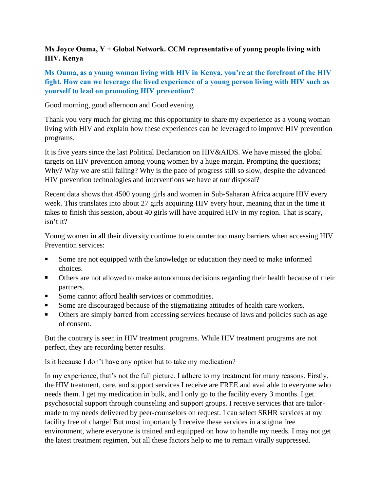## **Ms Joyce Ouma, Y + Global Network. CCM representative of young people living with HIV. Kenya**

## **Ms Ouma, as a young woman living with HIV in Kenya, you're at the forefront of the HIV fight. How can we leverage the lived experience of a young person living with HIV such as yourself to lead on promoting HIV prevention?**

Good morning, good afternoon and Good evening

Thank you very much for giving me this opportunity to share my experience as a young woman living with HIV and explain how these experiences can be leveraged to improve HIV prevention programs.

It is five years since the last Political Declaration on HIV&AIDS. We have missed the global targets on HIV prevention among young women by a huge margin. Prompting the questions; Why? Why we are still failing? Why is the pace of progress still so slow, despite the advanced HIV prevention technologies and interventions we have at our disposal?

Recent data shows that 4500 young girls and women in Sub-Saharan Africa acquire HIV every week. This translates into about 27 girls acquiring HIV every hour, meaning that in the time it takes to finish this session, about 40 girls will have acquired HIV in my region. That is scary, isn't it?

Young women in all their diversity continue to encounter too many barriers when accessing HIV Prevention services:

- Some are not equipped with the knowledge or education they need to make informed choices.
- **Others are not allowed to make autonomous decisions regarding their health because of their** partners.
- Some cannot afford health services or commodities.
- Some are discouraged because of the stigmatizing attitudes of health care workers.
- Others are simply barred from accessing services because of laws and policies such as age of consent.

But the contrary is seen in HIV treatment programs. While HIV treatment programs are not perfect, they are recording better results.

Is it because I don't have any option but to take my medication?

In my experience, that's not the full picture. I adhere to my treatment for many reasons. Firstly, the HIV treatment, care, and support services I receive are FREE and available to everyone who needs them. I get my medication in bulk, and I only go to the facility every 3 months. I get psychosocial support through counseling and support groups. I receive services that are tailormade to my needs delivered by peer-counselors on request. I can select SRHR services at my facility free of charge! But most importantly I receive these services in a stigma free environment, where everyone is trained and equipped on how to handle my needs. I may not get the latest treatment regimen, but all these factors help to me to remain virally suppressed.